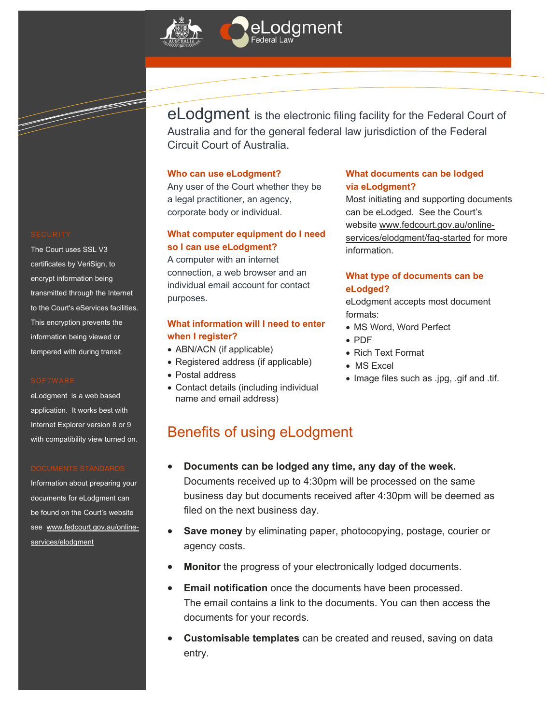



The Court uses SSL V3 certificates by VeriSign, to encrypt information being transmitted through the Internet to the Court's eServices facilities. This encryption prevents the information being viewed or tampered with during transit.

eLodgment is a web based application. It works best with Internet Explorer version 8 or 9 with compatibility view turned on.

Information about preparing your documents for eLodgment can be found on the Court's website see www.fedcourt.gov.au/onlineservices/elodgment

eLodgment is the electronic filing facility for the Federal Court of Australia and for the general federal law jurisdiction of the Federal Circuit Court of Australia.

#### **Who can use eLodgment?**

Any user of the Court whether they be a legal practitioner, an agency, corporate body or individual.

#### **What computer equipment do I need so I can use eLodgment?**

A computer with an internet connection, a web browser and an individual email account for contact purposes.

#### **What information will I need to enter when I register?**

- ABN/ACN (if applicable)
- Registered address (if applicable)
- Postal address
- Contact details (including individual name and email address)

#### **What documents can be lodged via eLodgment?**

Most initiating and supporting documents can be eLodged. See the Court's website www.fedcourt.gov.au/onlineservices/elodgment/faq-started for more information.

#### **What type of documents can be eLodged?**

eLodgment accepts most document formats:

- MS Word, Word Perfect
- PDF
- Rich Text Format
- MS Excel
- Image files such as .jpg, .gif and .tif.

### Benefits of using eLodgment

- **Documents can be lodged any time, any day of the week.** Documents received up to 4:30pm will be processed on the same business day but documents received after 4:30pm will be deemed as filed on the next business day.
- **Save money** by eliminating paper, photocopying, postage, courier or agency costs.
- **Monitor** the progress of your electronically lodged documents.
- **Email notification** once the documents have been processed. The email contains a link to the documents. You can then access the documents for your records.
- **Customisable templates** can be created and reused, saving on data entry.